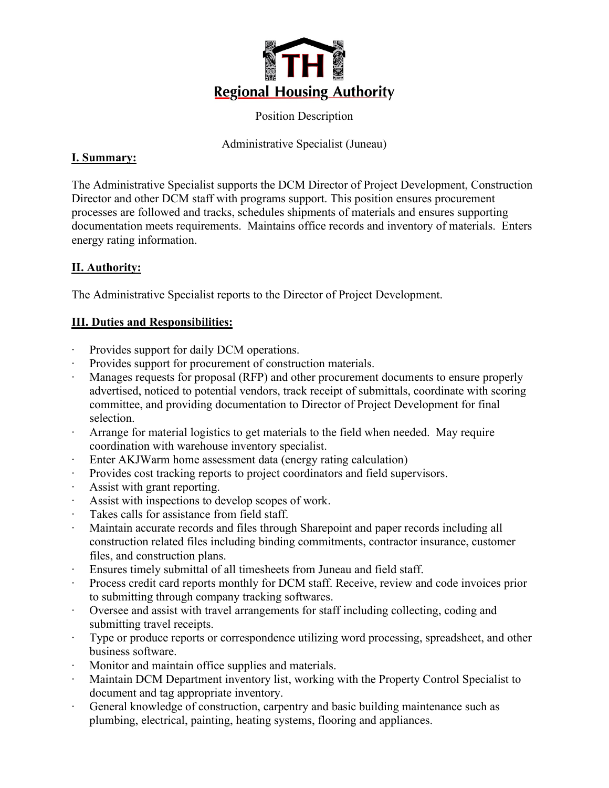

Position Description

Administrative Specialist (Juneau)

## **I. Summary:**

The Administrative Specialist supports the DCM Director of Project Development, Construction Director and other DCM staff with programs support. This position ensures procurement processes are followed and tracks, schedules shipments of materials and ensures supporting documentation meets requirements. Maintains office records and inventory of materials. Enters energy rating information.

# **II. Authority:**

The Administrative Specialist reports to the Director of Project Development.

## **III. Duties and Responsibilities:**

- ∙ Provides support for daily DCM operations.
- ∙ Provides support for procurement of construction materials.
- ∙ Manages requests for proposal (RFP) and other procurement documents to ensure properly advertised, noticed to potential vendors, track receipt of submittals, coordinate with scoring committee, and providing documentation to Director of Project Development for final selection.
- ∙ Arrange for material logistics to get materials to the field when needed. May require coordination with warehouse inventory specialist.
- Enter AKJWarm home assessment data (energy rating calculation)
- ∙ Provides cost tracking reports to project coordinators and field supervisors.
- ∙ Assist with grant reporting.
- ∙ Assist with inspections to develop scopes of work.
- Takes calls for assistance from field staff.
- ∙ Maintain accurate records and files through Sharepoint and paper records including all construction related files including binding commitments, contractor insurance, customer files, and construction plans.
- ∙ Ensures timely submittal of all timesheets from Juneau and field staff.
- ∙ Process credit card reports monthly for DCM staff. Receive, review and code invoices prior to submitting through company tracking softwares.
- ∙ Oversee and assist with travel arrangements for staff including collecting, coding and submitting travel receipts.
- ∙ Type or produce reports or correspondence utilizing word processing, spreadsheet, and other business software.
- ∙ Monitor and maintain office supplies and materials.
- ∙ Maintain DCM Department inventory list, working with the Property Control Specialist to document and tag appropriate inventory.
- ∙ General knowledge of construction, carpentry and basic building maintenance such as plumbing, electrical, painting, heating systems, flooring and appliances.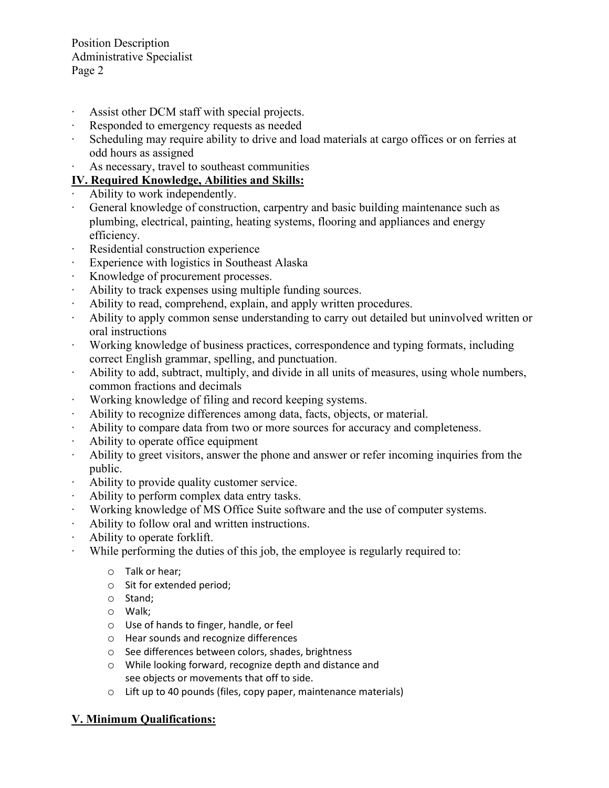Position Description Administrative Specialist Page 2

- ∙ Assist other DCM staff with special projects.
- ∙ Responded to emergency requests as needed
- ∙ Scheduling may require ability to drive and load materials at cargo offices or on ferries at odd hours as assigned
- ∙ As necessary, travel to southeast communities

### **IV. Required Knowledge, Abilities and Skills:**

- ∙ Ability to work independently.
- ∙ General knowledge of construction, carpentry and basic building maintenance such as plumbing, electrical, painting, heating systems, flooring and appliances and energy efficiency.
- ∙ Residential construction experience
- ∙ Experience with logistics in Southeast Alaska
- ∙ Knowledge of procurement processes.
- ∙ Ability to track expenses using multiple funding sources.
- ∙ Ability to read, comprehend, explain, and apply written procedures.
- ∙ Ability to apply common sense understanding to carry out detailed but uninvolved written or oral instructions
- ∙ Working knowledge of business practices, correspondence and typing formats, including correct English grammar, spelling, and punctuation.
- ∙ Ability to add, subtract, multiply, and divide in all units of measures, using whole numbers, common fractions and decimals
- ∙ Working knowledge of filing and record keeping systems.
- ∙ Ability to recognize differences among data, facts, objects, or material.
- ∙ Ability to compare data from two or more sources for accuracy and completeness.
- ∙ Ability to operate office equipment
- ∙ Ability to greet visitors, answer the phone and answer or refer incoming inquiries from the public.
- ∙ Ability to provide quality customer service.
- ∙ Ability to perform complex data entry tasks.
- ∙ Working knowledge of MS Office Suite software and the use of computer systems.
- ∙ Ability to follow oral and written instructions.
- ∙ Ability to operate forklift.
- ∙ While performing the duties of this job, the employee is regularly required to:
	- o Talk or hear;
	- o Sit for extended period;
	- o Stand;
	- o Walk;
	- o Use of hands to finger, handle, or feel
	- o Hear sounds and recognize differences
	- o See differences between colors, shades, brightness
	- o While looking forward, recognize depth and distance and see objects or movements that off to side.
	- o Lift up to 40 pounds (files, copy paper, maintenance materials)

### **V. Minimum Qualifications:**